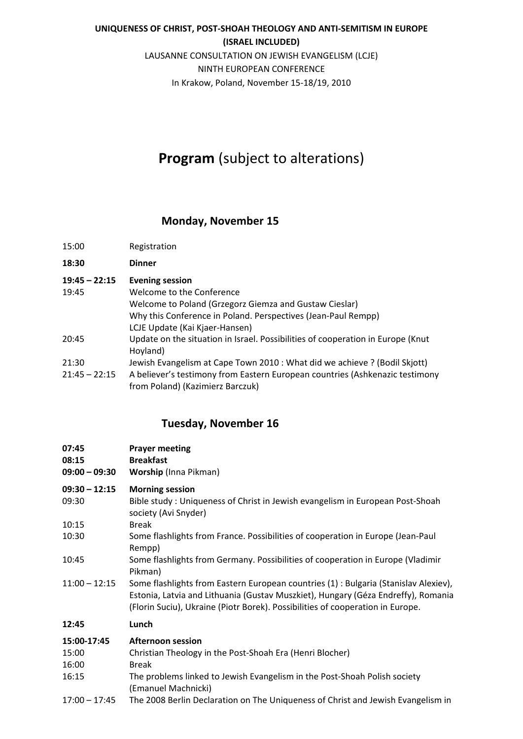## **UNIQUENESS OF CHRIST, POST‐SHOAH THEOLOGY AND ANTI‐SEMITISM IN EUROPE**

### **(ISRAEL INCLUDED)** LAUSANNE CONSULTATION ON JEWISH EVANGELISM (LCJE) NINTH EUROPEAN CONFERENCE In Krakow, Poland, November 15‐18/19, 2010

# **Program** (subject to alterations)

## **Monday, November 15**

| 15:00                    | Registration                                                                                                                                                                                                     |
|--------------------------|------------------------------------------------------------------------------------------------------------------------------------------------------------------------------------------------------------------|
| 18:30                    | <b>Dinner</b>                                                                                                                                                                                                    |
| $19:45 - 22:15$<br>19:45 | <b>Evening session</b><br>Welcome to the Conference<br>Welcome to Poland (Grzegorz Giemza and Gustaw Cieslar)<br>Why this Conference in Poland. Perspectives (Jean-Paul Rempp)<br>LCJE Update (Kai Kjaer-Hansen) |
| 20:45                    | Update on the situation in Israel. Possibilities of cooperation in Europe (Knut<br>Hoyland)                                                                                                                      |
| 21:30<br>21:45 – 22:15   | Jewish Evangelism at Cape Town 2010 : What did we achieve ? (Bodil Skjott)<br>A believer's testimony from Eastern European countries (Ashkenazic testimony<br>from Poland) (Kazimierz Barczuk)                   |

## **Tuesday, November 16**

| 07:45<br>08:15<br>$09:00 - 09:30$ | <b>Prayer meeting</b><br><b>Breakfast</b><br><b>Worship (Inna Pikman)</b>                                                                                                                                                                                   |
|-----------------------------------|-------------------------------------------------------------------------------------------------------------------------------------------------------------------------------------------------------------------------------------------------------------|
| $09:30 - 12:15$                   | <b>Morning session</b>                                                                                                                                                                                                                                      |
| 09:30                             | Bible study: Uniqueness of Christ in Jewish evangelism in European Post-Shoah<br>society (Avi Snyder)                                                                                                                                                       |
| 10:15                             | <b>Break</b>                                                                                                                                                                                                                                                |
| 10:30                             | Some flashlights from France. Possibilities of cooperation in Europe (Jean-Paul<br>Rempp)                                                                                                                                                                   |
| 10:45                             | Some flashlights from Germany. Possibilities of cooperation in Europe (Vladimir<br>Pikman)                                                                                                                                                                  |
| $11:00 - 12:15$                   | Some flashlights from Eastern European countries (1) : Bulgaria (Stanislav Alexiev),<br>Estonia, Latvia and Lithuania (Gustav Muszkiet), Hungary (Géza Endreffy), Romania<br>(Florin Suciu), Ukraine (Piotr Borek). Possibilities of cooperation in Europe. |
| 12:45                             | Lunch                                                                                                                                                                                                                                                       |
| 15:00-17:45                       | <b>Afternoon session</b>                                                                                                                                                                                                                                    |
| 15:00                             | Christian Theology in the Post-Shoah Era (Henri Blocher)                                                                                                                                                                                                    |
| 16:00                             | <b>Break</b>                                                                                                                                                                                                                                                |
| 16:15                             | The problems linked to Jewish Evangelism in the Post-Shoah Polish society<br>(Emanuel Machnicki)                                                                                                                                                            |
| $17:00 - 17:45$                   | The 2008 Berlin Declaration on The Uniqueness of Christ and Jewish Evangelism in                                                                                                                                                                            |